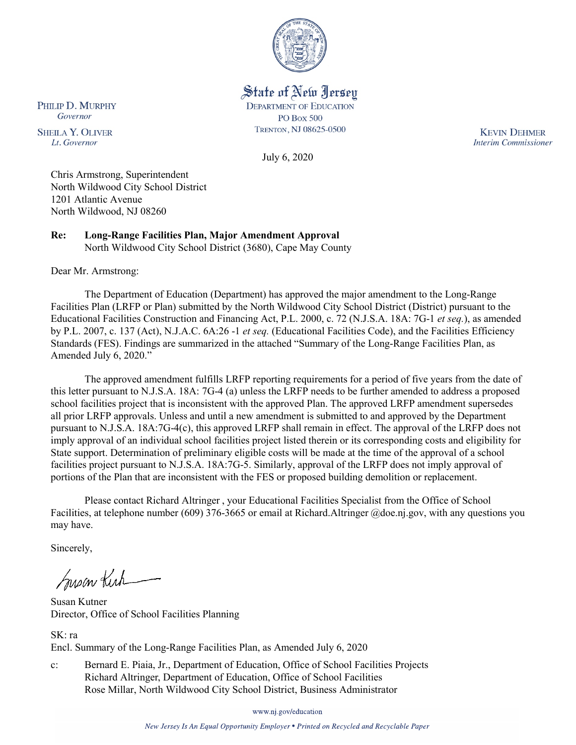

State of New Jersey

**DEPARTMENT OF EDUCATION** 

**PO Box 500** TRENTON, NJ 08625-0500

July 6, 2020

**KEVIN DEHMER Interim Commissioner** 

Chris Armstrong, Superintendent North Wildwood City School District 1201 Atlantic Avenue North Wildwood, NJ 08260

**Re: Long-Range Facilities Plan, Major Amendment Approval** North Wildwood City School District (3680), Cape May County

Dear Mr. Armstrong:

PHILIP D. MURPHY

Governor

**SHEILA Y. OLIVER** 

Lt. Governor

The Department of Education (Department) has approved the major amendment to the Long-Range Facilities Plan (LRFP or Plan) submitted by the North Wildwood City School District (District) pursuant to the Educational Facilities Construction and Financing Act, P.L. 2000, c. 72 (N.J.S.A. 18A: 7G-1 *et seq.*), as amended by P.L. 2007, c. 137 (Act), N.J.A.C. 6A:26 -1 *et seq.* (Educational Facilities Code), and the Facilities Efficiency Standards (FES). Findings are summarized in the attached "Summary of the Long-Range Facilities Plan, as Amended July 6, 2020."

The approved amendment fulfills LRFP reporting requirements for a period of five years from the date of this letter pursuant to N.J.S.A. 18A: 7G-4 (a) unless the LRFP needs to be further amended to address a proposed school facilities project that is inconsistent with the approved Plan. The approved LRFP amendment supersedes all prior LRFP approvals. Unless and until a new amendment is submitted to and approved by the Department pursuant to N.J.S.A. 18A:7G-4(c), this approved LRFP shall remain in effect. The approval of the LRFP does not imply approval of an individual school facilities project listed therein or its corresponding costs and eligibility for State support. Determination of preliminary eligible costs will be made at the time of the approval of a school facilities project pursuant to N.J.S.A. 18A:7G-5. Similarly, approval of the LRFP does not imply approval of portions of the Plan that are inconsistent with the FES or proposed building demolition or replacement.

Please contact Richard Altringer , your Educational Facilities Specialist from the Office of School Facilities, at telephone number (609) 376-3665 or email at Richard.Altringer @doe.nj.gov, with any questions you may have.

Sincerely,

Susan Kich

Susan Kutner Director, Office of School Facilities Planning

SK: ra Encl. Summary of the Long-Range Facilities Plan, as Amended July 6, 2020

c: Bernard E. Piaia, Jr., Department of Education, Office of School Facilities Projects Richard Altringer, Department of Education, Office of School Facilities Rose Millar, North Wildwood City School District, Business Administrator

www.nj.gov/education

New Jersey Is An Equal Opportunity Employer . Printed on Recycled and Recyclable Paper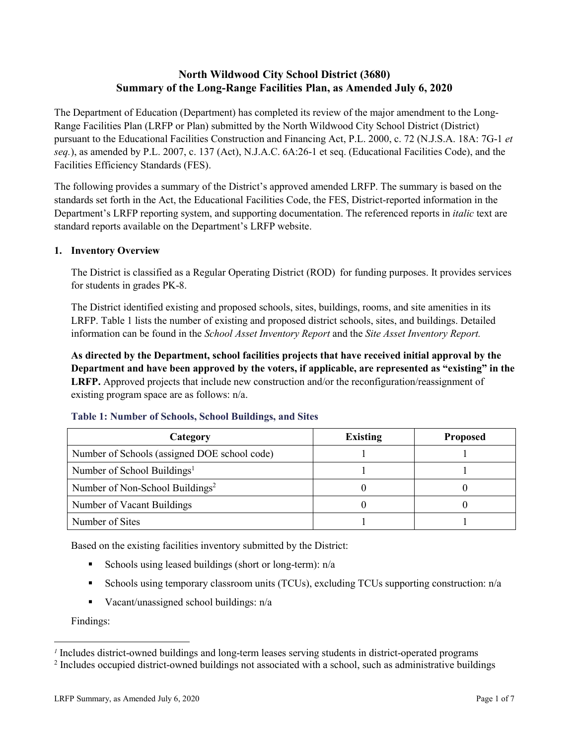# **North Wildwood City School District (3680) Summary of the Long-Range Facilities Plan, as Amended July 6, 2020**

The Department of Education (Department) has completed its review of the major amendment to the Long-Range Facilities Plan (LRFP or Plan) submitted by the North Wildwood City School District (District) pursuant to the Educational Facilities Construction and Financing Act, P.L. 2000, c. 72 (N.J.S.A. 18A: 7G-1 *et seq.*), as amended by P.L. 2007, c. 137 (Act), N.J.A.C. 6A:26-1 et seq. (Educational Facilities Code), and the Facilities Efficiency Standards (FES).

The following provides a summary of the District's approved amended LRFP. The summary is based on the standards set forth in the Act, the Educational Facilities Code, the FES, District-reported information in the Department's LRFP reporting system, and supporting documentation. The referenced reports in *italic* text are standard reports available on the Department's LRFP website.

# **1. Inventory Overview**

The District is classified as a Regular Operating District (ROD) for funding purposes. It provides services for students in grades PK-8.

The District identified existing and proposed schools, sites, buildings, rooms, and site amenities in its LRFP. Table 1 lists the number of existing and proposed district schools, sites, and buildings. Detailed information can be found in the *School Asset Inventory Report* and the *Site Asset Inventory Report.*

**As directed by the Department, school facilities projects that have received initial approval by the Department and have been approved by the voters, if applicable, are represented as "existing" in the LRFP.** Approved projects that include new construction and/or the reconfiguration/reassignment of existing program space are as follows: n/a.

| Category                                     | <b>Existing</b> | <b>Proposed</b> |
|----------------------------------------------|-----------------|-----------------|
| Number of Schools (assigned DOE school code) |                 |                 |
| Number of School Buildings <sup>1</sup>      |                 |                 |
| Number of Non-School Buildings <sup>2</sup>  |                 |                 |
| Number of Vacant Buildings                   |                 |                 |
| Number of Sites                              |                 |                 |

# **Table 1: Number of Schools, School Buildings, and Sites**

Based on the existing facilities inventory submitted by the District:

- Schools using leased buildings (short or long-term):  $n/a$
- Schools using temporary classroom units (TCUs), excluding TCUs supporting construction: n/a
- Vacant/unassigned school buildings:  $n/a$

Findings:

 $\overline{a}$ 

*<sup>1</sup>* Includes district-owned buildings and long-term leases serving students in district-operated programs

<sup>&</sup>lt;sup>2</sup> Includes occupied district-owned buildings not associated with a school, such as administrative buildings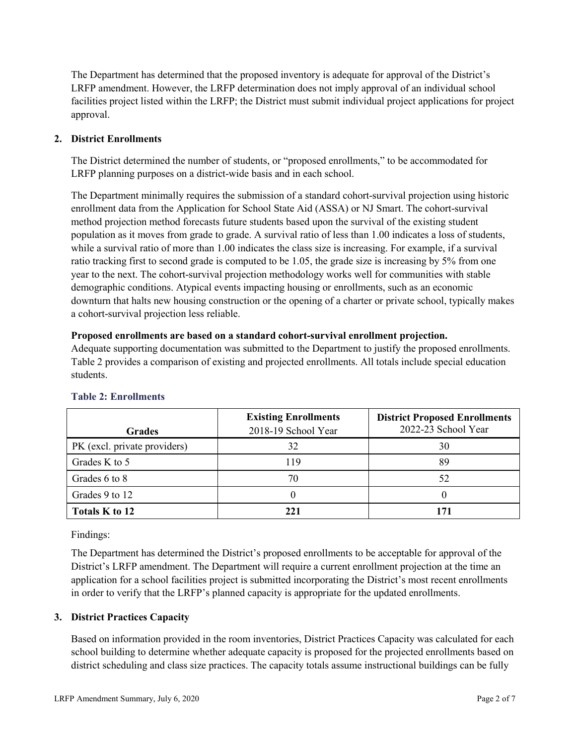The Department has determined that the proposed inventory is adequate for approval of the District's LRFP amendment. However, the LRFP determination does not imply approval of an individual school facilities project listed within the LRFP; the District must submit individual project applications for project approval.

## **2. District Enrollments**

The District determined the number of students, or "proposed enrollments," to be accommodated for LRFP planning purposes on a district-wide basis and in each school.

The Department minimally requires the submission of a standard cohort-survival projection using historic enrollment data from the Application for School State Aid (ASSA) or NJ Smart. The cohort-survival method projection method forecasts future students based upon the survival of the existing student population as it moves from grade to grade. A survival ratio of less than 1.00 indicates a loss of students, while a survival ratio of more than 1.00 indicates the class size is increasing. For example, if a survival ratio tracking first to second grade is computed to be 1.05, the grade size is increasing by 5% from one year to the next. The cohort-survival projection methodology works well for communities with stable demographic conditions. Atypical events impacting housing or enrollments, such as an economic downturn that halts new housing construction or the opening of a charter or private school, typically makes a cohort-survival projection less reliable.

### **Proposed enrollments are based on a standard cohort-survival enrollment projection.**

Adequate supporting documentation was submitted to the Department to justify the proposed enrollments. Table 2 provides a comparison of existing and projected enrollments. All totals include special education students.

| <b>Grades</b>                | <b>Existing Enrollments</b><br>2018-19 School Year | <b>District Proposed Enrollments</b><br>2022-23 School Year |
|------------------------------|----------------------------------------------------|-------------------------------------------------------------|
| PK (excl. private providers) | 32                                                 | 30                                                          |
| Grades K to 5                | 119                                                | 89                                                          |
| Grades 6 to 8                | 70                                                 | 52                                                          |
| Grades 9 to 12               |                                                    |                                                             |
| Totals K to 12               |                                                    | 171                                                         |

# **Table 2: Enrollments**

Findings:

The Department has determined the District's proposed enrollments to be acceptable for approval of the District's LRFP amendment. The Department will require a current enrollment projection at the time an application for a school facilities project is submitted incorporating the District's most recent enrollments in order to verify that the LRFP's planned capacity is appropriate for the updated enrollments.

### **3. District Practices Capacity**

Based on information provided in the room inventories, District Practices Capacity was calculated for each school building to determine whether adequate capacity is proposed for the projected enrollments based on district scheduling and class size practices. The capacity totals assume instructional buildings can be fully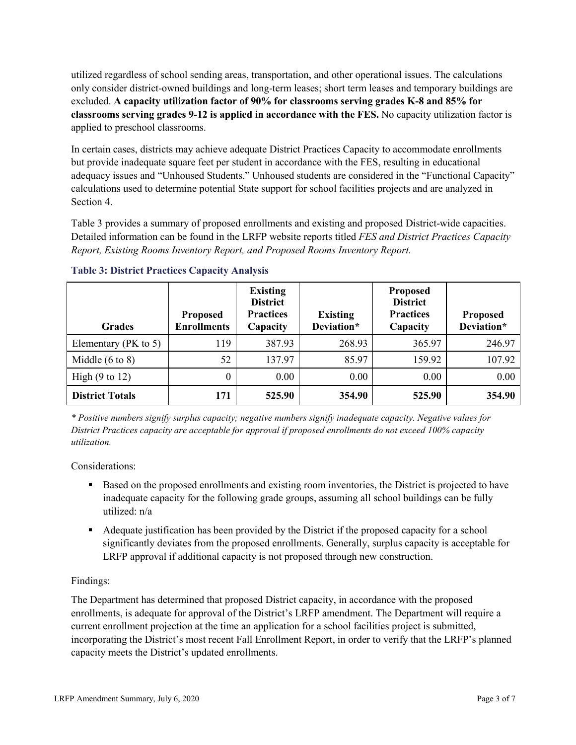utilized regardless of school sending areas, transportation, and other operational issues. The calculations only consider district-owned buildings and long-term leases; short term leases and temporary buildings are excluded. **A capacity utilization factor of 90% for classrooms serving grades K-8 and 85% for classrooms serving grades 9-12 is applied in accordance with the FES.** No capacity utilization factor is applied to preschool classrooms.

In certain cases, districts may achieve adequate District Practices Capacity to accommodate enrollments but provide inadequate square feet per student in accordance with the FES, resulting in educational adequacy issues and "Unhoused Students." Unhoused students are considered in the "Functional Capacity" calculations used to determine potential State support for school facilities projects and are analyzed in Section 4.

Table 3 provides a summary of proposed enrollments and existing and proposed District-wide capacities. Detailed information can be found in the LRFP website reports titled *FES and District Practices Capacity Report, Existing Rooms Inventory Report, and Proposed Rooms Inventory Report.*

| <b>Grades</b>              | <b>Proposed</b><br><b>Enrollments</b> | <b>Existing</b><br><b>District</b><br><b>Practices</b><br>Capacity | <b>Existing</b><br>Deviation* | <b>Proposed</b><br><b>District</b><br><b>Practices</b><br>Capacity | <b>Proposed</b><br>Deviation* |
|----------------------------|---------------------------------------|--------------------------------------------------------------------|-------------------------------|--------------------------------------------------------------------|-------------------------------|
| Elementary ( $PK$ to 5)    | 119                                   | 387.93                                                             | 268.93                        | 365.97                                                             | 246.97                        |
| Middle $(6 \text{ to } 8)$ | 52                                    | 137.97                                                             | 85.97                         | 159.92                                                             | 107.92                        |
| High $(9 \text{ to } 12)$  | $\theta$                              | 0.00                                                               | 0.00                          | 0.00                                                               | 0.00                          |
| <b>District Totals</b>     | 171                                   | 525.90                                                             | 354.90                        | 525.90                                                             | 354.90                        |

**Table 3: District Practices Capacity Analysis**

*\* Positive numbers signify surplus capacity; negative numbers signify inadequate capacity. Negative values for District Practices capacity are acceptable for approval if proposed enrollments do not exceed 100% capacity utilization.*

Considerations:

- Based on the proposed enrollments and existing room inventories, the District is projected to have inadequate capacity for the following grade groups, assuming all school buildings can be fully utilized: n/a
- Adequate justification has been provided by the District if the proposed capacity for a school significantly deviates from the proposed enrollments. Generally, surplus capacity is acceptable for LRFP approval if additional capacity is not proposed through new construction.

# Findings:

The Department has determined that proposed District capacity, in accordance with the proposed enrollments, is adequate for approval of the District's LRFP amendment. The Department will require a current enrollment projection at the time an application for a school facilities project is submitted, incorporating the District's most recent Fall Enrollment Report, in order to verify that the LRFP's planned capacity meets the District's updated enrollments.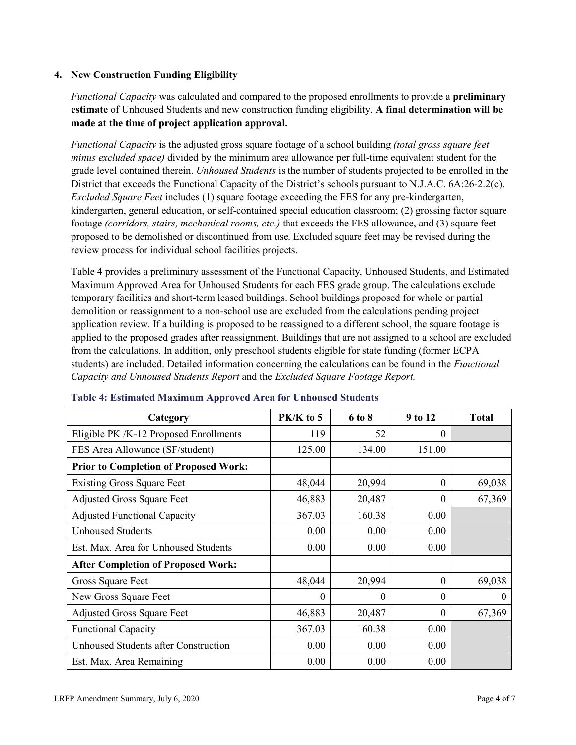## **4. New Construction Funding Eligibility**

*Functional Capacity* was calculated and compared to the proposed enrollments to provide a **preliminary estimate** of Unhoused Students and new construction funding eligibility. **A final determination will be made at the time of project application approval.**

*Functional Capacity* is the adjusted gross square footage of a school building *(total gross square feet minus excluded space)* divided by the minimum area allowance per full-time equivalent student for the grade level contained therein. *Unhoused Students* is the number of students projected to be enrolled in the District that exceeds the Functional Capacity of the District's schools pursuant to N.J.A.C. 6A:26-2.2(c). *Excluded Square Feet* includes (1) square footage exceeding the FES for any pre-kindergarten, kindergarten, general education, or self-contained special education classroom; (2) grossing factor square footage *(corridors, stairs, mechanical rooms, etc.)* that exceeds the FES allowance, and (3) square feet proposed to be demolished or discontinued from use. Excluded square feet may be revised during the review process for individual school facilities projects.

Table 4 provides a preliminary assessment of the Functional Capacity, Unhoused Students, and Estimated Maximum Approved Area for Unhoused Students for each FES grade group. The calculations exclude temporary facilities and short-term leased buildings. School buildings proposed for whole or partial demolition or reassignment to a non-school use are excluded from the calculations pending project application review. If a building is proposed to be reassigned to a different school, the square footage is applied to the proposed grades after reassignment. Buildings that are not assigned to a school are excluded from the calculations. In addition, only preschool students eligible for state funding (former ECPA students) are included. Detailed information concerning the calculations can be found in the *Functional Capacity and Unhoused Students Report* and the *Excluded Square Footage Report.*

| Category                                     | PK/K to 5 | 6 to 8   | 9 to 12  | <b>Total</b> |
|----------------------------------------------|-----------|----------|----------|--------------|
| Eligible PK /K-12 Proposed Enrollments       | 119       | 52       | 0        |              |
| FES Area Allowance (SF/student)              | 125.00    | 134.00   | 151.00   |              |
| <b>Prior to Completion of Proposed Work:</b> |           |          |          |              |
| <b>Existing Gross Square Feet</b>            | 48,044    | 20,994   | $\theta$ | 69,038       |
| <b>Adjusted Gross Square Feet</b>            | 46,883    | 20,487   | $\theta$ | 67,369       |
| <b>Adjusted Functional Capacity</b>          | 367.03    | 160.38   | 0.00     |              |
| <b>Unhoused Students</b>                     | 0.00      | 0.00     | 0.00     |              |
| Est. Max. Area for Unhoused Students         | 0.00      | 0.00     | 0.00     |              |
| <b>After Completion of Proposed Work:</b>    |           |          |          |              |
| Gross Square Feet                            | 48,044    | 20,994   | $\Omega$ | 69,038       |
| New Gross Square Feet                        | $\Omega$  | $\Omega$ | $\Omega$ | $\theta$     |
| <b>Adjusted Gross Square Feet</b>            | 46,883    | 20,487   | $\Omega$ | 67,369       |
| <b>Functional Capacity</b>                   | 367.03    | 160.38   | 0.00     |              |
| <b>Unhoused Students after Construction</b>  | 0.00      | 0.00     | 0.00     |              |
| Est. Max. Area Remaining                     | 0.00      | 0.00     | 0.00     |              |

### **Table 4: Estimated Maximum Approved Area for Unhoused Students**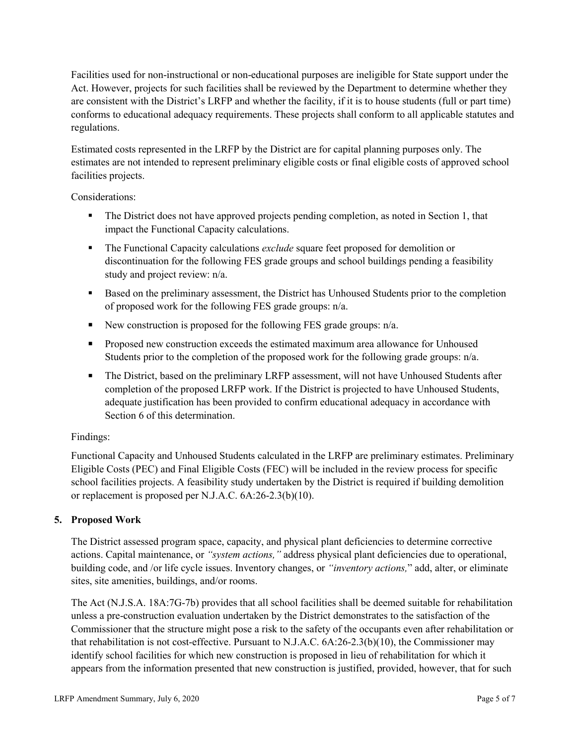Facilities used for non-instructional or non-educational purposes are ineligible for State support under the Act. However, projects for such facilities shall be reviewed by the Department to determine whether they are consistent with the District's LRFP and whether the facility, if it is to house students (full or part time) conforms to educational adequacy requirements. These projects shall conform to all applicable statutes and regulations.

Estimated costs represented in the LRFP by the District are for capital planning purposes only. The estimates are not intended to represent preliminary eligible costs or final eligible costs of approved school facilities projects.

Considerations:

- The District does not have approved projects pending completion, as noted in Section 1, that impact the Functional Capacity calculations.
- **The Functional Capacity calculations** *exclude* square feet proposed for demolition or discontinuation for the following FES grade groups and school buildings pending a feasibility study and project review: n/a.
- Based on the preliminary assessment, the District has Unhoused Students prior to the completion of proposed work for the following FES grade groups: n/a.
- New construction is proposed for the following FES grade groups: n/a.
- Proposed new construction exceeds the estimated maximum area allowance for Unhoused Students prior to the completion of the proposed work for the following grade groups: n/a.
- The District, based on the preliminary LRFP assessment, will not have Unhoused Students after completion of the proposed LRFP work. If the District is projected to have Unhoused Students, adequate justification has been provided to confirm educational adequacy in accordance with Section 6 of this determination.

# Findings:

Functional Capacity and Unhoused Students calculated in the LRFP are preliminary estimates. Preliminary Eligible Costs (PEC) and Final Eligible Costs (FEC) will be included in the review process for specific school facilities projects. A feasibility study undertaken by the District is required if building demolition or replacement is proposed per N.J.A.C. 6A:26-2.3(b)(10).

# **5. Proposed Work**

The District assessed program space, capacity, and physical plant deficiencies to determine corrective actions. Capital maintenance, or *"system actions,"* address physical plant deficiencies due to operational, building code, and /or life cycle issues. Inventory changes, or *"inventory actions,*" add, alter, or eliminate sites, site amenities, buildings, and/or rooms.

The Act (N.J.S.A. 18A:7G-7b) provides that all school facilities shall be deemed suitable for rehabilitation unless a pre-construction evaluation undertaken by the District demonstrates to the satisfaction of the Commissioner that the structure might pose a risk to the safety of the occupants even after rehabilitation or that rehabilitation is not cost-effective. Pursuant to N.J.A.C. 6A:26-2.3(b)(10), the Commissioner may identify school facilities for which new construction is proposed in lieu of rehabilitation for which it appears from the information presented that new construction is justified, provided, however, that for such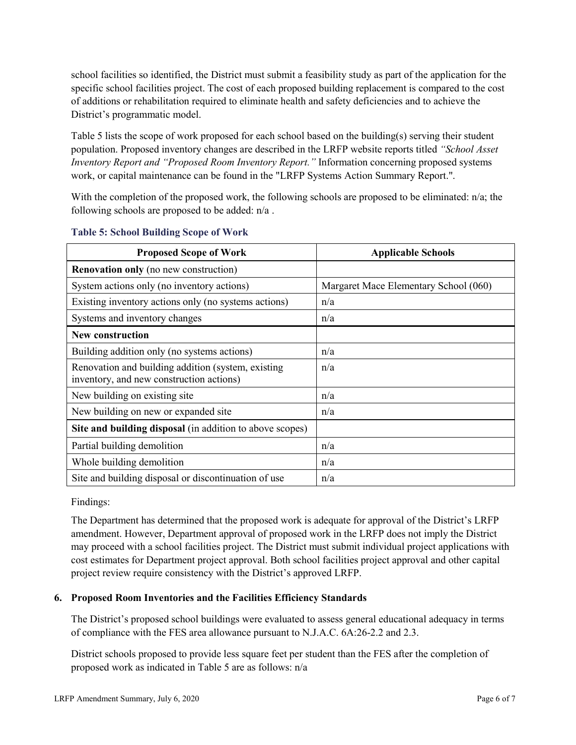school facilities so identified, the District must submit a feasibility study as part of the application for the specific school facilities project. The cost of each proposed building replacement is compared to the cost of additions or rehabilitation required to eliminate health and safety deficiencies and to achieve the District's programmatic model.

Table 5 lists the scope of work proposed for each school based on the building(s) serving their student population. Proposed inventory changes are described in the LRFP website reports titled *"School Asset Inventory Report and "Proposed Room Inventory Report."* Information concerning proposed systems work, or capital maintenance can be found in the "LRFP Systems Action Summary Report.".

With the completion of the proposed work, the following schools are proposed to be eliminated: n/a; the following schools are proposed to be added: n/a .

| <b>Proposed Scope of Work</b>                                                                  | <b>Applicable Schools</b>             |
|------------------------------------------------------------------------------------------------|---------------------------------------|
| <b>Renovation only</b> (no new construction)                                                   |                                       |
| System actions only (no inventory actions)                                                     | Margaret Mace Elementary School (060) |
| Existing inventory actions only (no systems actions)                                           | n/a                                   |
| Systems and inventory changes                                                                  | n/a                                   |
| <b>New construction</b>                                                                        |                                       |
| Building addition only (no systems actions)                                                    | n/a                                   |
| Renovation and building addition (system, existing<br>inventory, and new construction actions) | n/a                                   |
| New building on existing site.                                                                 | n/a                                   |
| New building on new or expanded site                                                           | n/a                                   |
| Site and building disposal (in addition to above scopes)                                       |                                       |
| Partial building demolition                                                                    | n/a                                   |
| Whole building demolition                                                                      | n/a                                   |
| Site and building disposal or discontinuation of use                                           | n/a                                   |

### **Table 5: School Building Scope of Work**

Findings:

The Department has determined that the proposed work is adequate for approval of the District's LRFP amendment. However, Department approval of proposed work in the LRFP does not imply the District may proceed with a school facilities project. The District must submit individual project applications with cost estimates for Department project approval. Both school facilities project approval and other capital project review require consistency with the District's approved LRFP.

# **6. Proposed Room Inventories and the Facilities Efficiency Standards**

The District's proposed school buildings were evaluated to assess general educational adequacy in terms of compliance with the FES area allowance pursuant to N.J.A.C. 6A:26-2.2 and 2.3.

District schools proposed to provide less square feet per student than the FES after the completion of proposed work as indicated in Table 5 are as follows: n/a